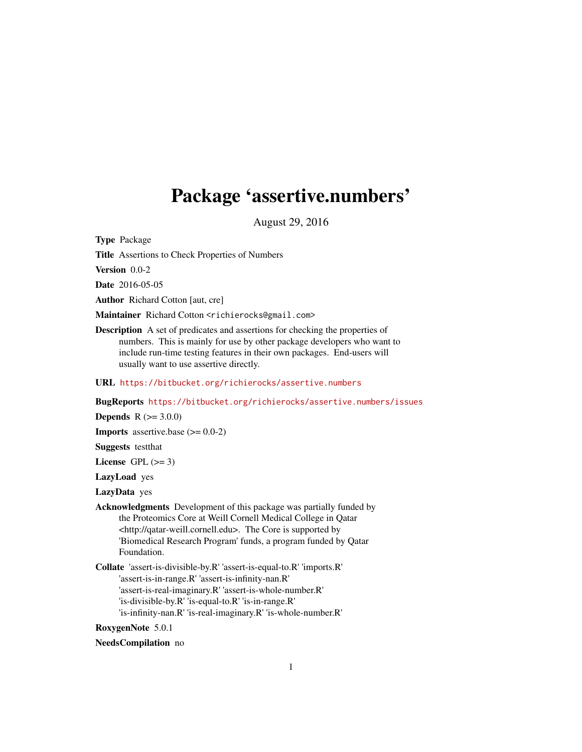# <span id="page-0-0"></span>Package 'assertive.numbers'

August 29, 2016

Type Package

Title Assertions to Check Properties of Numbers

Version 0.0-2

Date 2016-05-05

Author Richard Cotton [aut, cre]

Maintainer Richard Cotton <richierocks@gmail.com>

Description A set of predicates and assertions for checking the properties of numbers. This is mainly for use by other package developers who want to include run-time testing features in their own packages. End-users will usually want to use assertive directly.

URL <https://bitbucket.org/richierocks/assertive.numbers>

BugReports <https://bitbucket.org/richierocks/assertive.numbers/issues>

**Depends**  $R (= 3.0.0)$ 

**Imports** assertive.base  $(>= 0.0-2)$ 

Suggests testthat

License GPL  $(>= 3)$ 

LazyLoad yes

LazyData yes

- Acknowledgments Development of this package was partially funded by the Proteomics Core at Weill Cornell Medical College in Qatar <http://qatar-weill.cornell.edu>. The Core is supported by 'Biomedical Research Program' funds, a program funded by Qatar Foundation.
- Collate 'assert-is-divisible-by.R' 'assert-is-equal-to.R' 'imports.R' 'assert-is-in-range.R' 'assert-is-infinity-nan.R' 'assert-is-real-imaginary.R' 'assert-is-whole-number.R' 'is-divisible-by.R' 'is-equal-to.R' 'is-in-range.R' 'is-infinity-nan.R' 'is-real-imaginary.R' 'is-whole-number.R'

RoxygenNote 5.0.1

NeedsCompilation no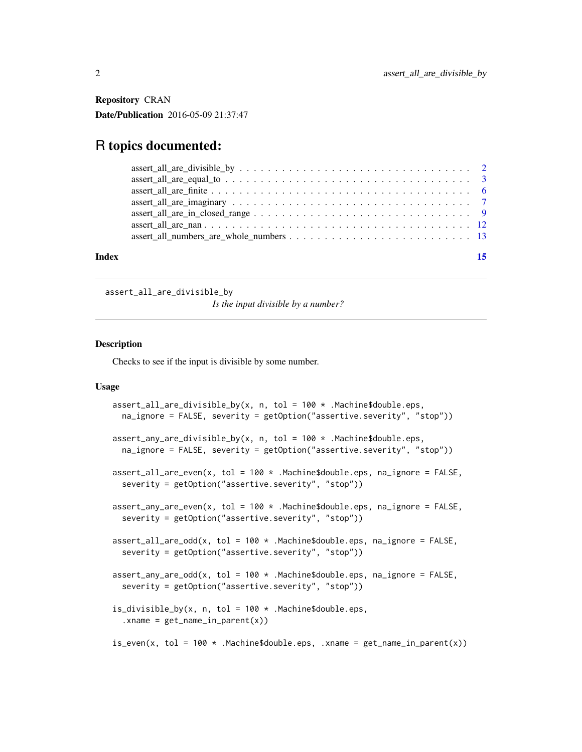<span id="page-1-0"></span>Repository CRAN Date/Publication 2016-05-09 21:37:47

# R topics documented:

| Index |  |
|-------|--|
|       |  |
|       |  |
|       |  |
|       |  |
|       |  |
|       |  |
|       |  |

assert\_all\_are\_divisible\_by

*Is the input divisible by a number?*

# Description

Checks to see if the input is divisible by some number.

```
assert_all_are_divisible_by(x, n, tol = 100 \times . Machine$double.eps,
  na_ignore = FALSE, severity = getOption("assertive.severity", "stop"))
assert_{any\_are\_divisible_by(x, n, tol = 100 * .Machine$double.eps,na_ignore = FALSE, severity = getOption("assertive.severity", "stop"))
assert_all_are_even(x, tol = 100 \times.Machine$double.eps, na_ignore = FALSE,
  severity = getOption("assertive.severity", "stop"))
assert_any_are_even(x, tol = 100 \times . Machine$double.eps, na_ignore = FALSE,
  severity = getOption("assertive.severity", "stop"))
assert_all_are_odd(x, tol = 100 \times .Machine$double.eps, na_ignore = FALSE,
  severity = getOption("assertive.severity", "stop"))
assert_any_are_odd(x, tol = 100 * .Machine$double.eps, na_ignore = FALSE,
  severity = getOption("assertive.severity", "stop"))
is_divisible_by(x, n, tol = 100 \times .Machine$double.eps,
  .xname = get_name_in.parent(x))is_even(x, tol = 100 \times .Machine$double.eps, .xname = get_name_in\_parent(x))
```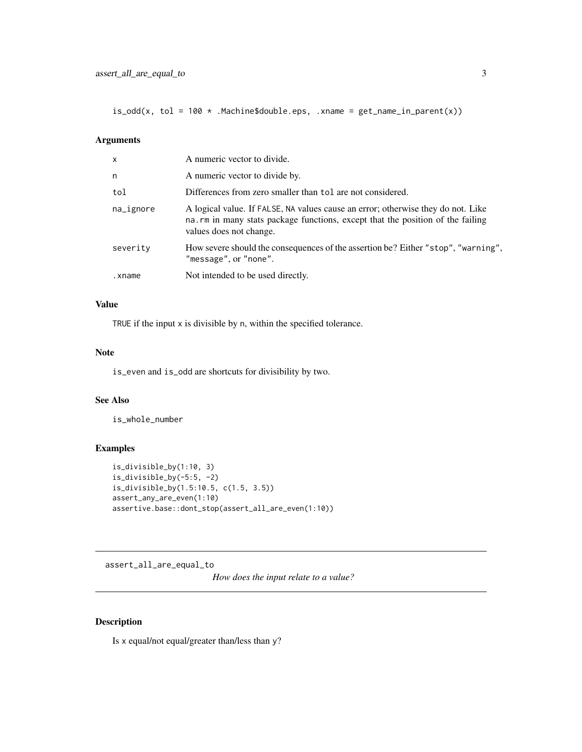<span id="page-2-0"></span> $is\_odd(x, tol = 100 * .Machine$double.eps, .xname = get_name_in\_parent(x))$ 

#### Arguments

| $\mathsf{x}$ | A numeric vector to divide.                                                                                                                                                                   |
|--------------|-----------------------------------------------------------------------------------------------------------------------------------------------------------------------------------------------|
| n            | A numeric vector to divide by.                                                                                                                                                                |
| tol          | Differences from zero smaller than tol are not considered.                                                                                                                                    |
| na_ignore    | A logical value. If FALSE, NA values cause an error; otherwise they do not. Like<br>na.rm in many stats package functions, except that the position of the failing<br>values does not change. |
| severity     | How severe should the consequences of the assertion be? Either "stop", "warning",<br>"message", or "none".                                                                                    |
| .xname       | Not intended to be used directly.                                                                                                                                                             |
|              |                                                                                                                                                                                               |

# Value

TRUE if the input x is divisible by n, within the specified tolerance.

#### Note

is\_even and is\_odd are shortcuts for divisibility by two.

#### See Also

is\_whole\_number

#### Examples

```
is_divisible_by(1:10, 3)
is_divisible_by(-5:5, -2)
is_divisible_by(1.5:10.5, c(1.5, 3.5))
assert_any_are_even(1:10)
assertive.base::dont_stop(assert_all_are_even(1:10))
```
assert\_all\_are\_equal\_to

*How does the input relate to a value?*

# Description

Is x equal/not equal/greater than/less than y?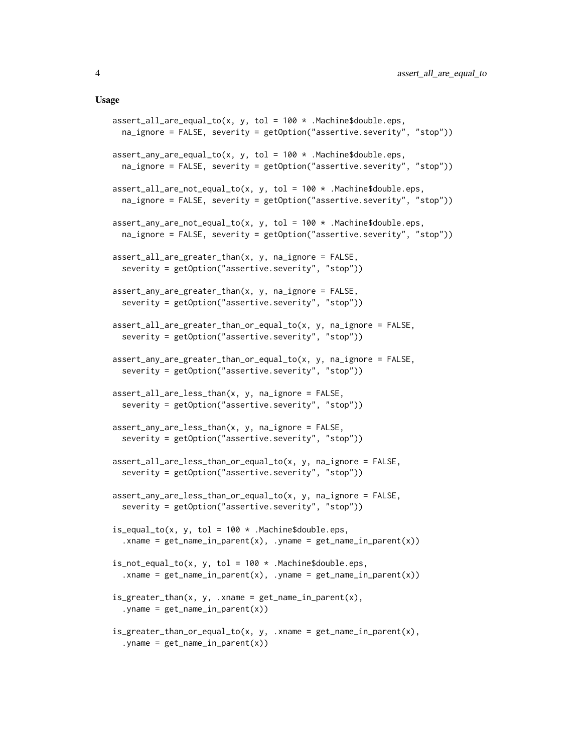```
assert_all_are_equal_to(x, y, tol = 100 * .Machine$double.eps,
  na_ignore = FALSE, severity = getOption("assertive.severity", "stop"))
assert_any_are_equal_to(x, y, tol = 100 * .Machine$double.eps,
  na_ignore = FALSE, severity = getOption("assertive.severity", "stop"))
assert\_all\_are\_not\_equal\_to(x, y, tol = 100 * .Machine$double.eps,na_ignore = FALSE, severity = getOption("assertive.severity", "stop"))
assert_{any\_are\_not\_equal\_to(x, y, tol = 100 * .Machine$double.eps,na_ignore = FALSE, severity = getOption("assertive.severity", "stop"))
assert_all_are_greater_than(x, y, na_ignore = FALSE,
  severity = getOption("assertive.severity", "stop"))
assert_any_are_greater_than(x, y, na_ignore = FALSE,
  severity = getOption("assertive.severity", "stop"))
assert_all_are_greater_than_or_equal_to(x, y, na_ignore = FALSE,
  severity = getOption("assertive.severity", "stop"))
assert_any_are_greater_than_or_equal_to(x, y, na_ignore = FALSE,
  severity = getOption("assertive.severity", "stop"))
assert\_all\_are\_less\_than(x, y, na\_ignore = FALSE,severity = getOption("assertive.severity", "stop"))
assert_any_are_less_than(x, y, na_ignore = FALSE,
  severity = getOption("assertive.severity", "stop"))
assert\_all\_are\_less\_than\_or\_equal\_to(x, y, na\_ignore = FALSE,severity = getOption("assertive.severity", "stop"))
assert_any_are_less_than_or_equal_to(x, y, na_ignore = FALSE,
  severity = getOption("assertive.severity", "stop"))
is\_equal\_to(x, y, tol = 100 * .Machine$double.eps,xname = get_name_in_parent(x), .yname = get_name_in_parent(x))
is\_not\_equal\_to(x, y, tol = 100 * .Machine$double.eps,. xname = get_name_in\_parent(x), . yname = get_name_in\_parent(x))
is\_greater\_than(x, y, .xname = get\_name\_in\_parent(x),.yname = get_name_in\_parent(x))
is_greater_than_or_equal_to(x, y, .xname = get_name_in_parent(x),
  . yname = get_name_in_parent(x))
```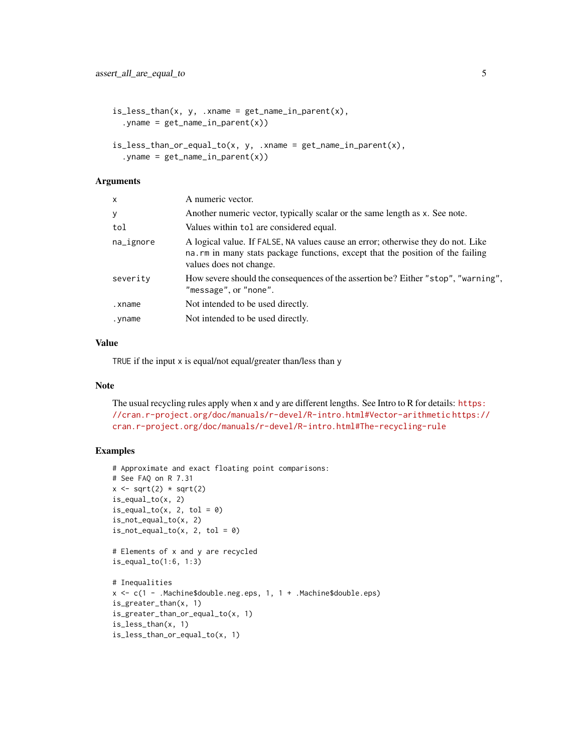```
is\_less\_than(x, y, .xname = get\_name\_in\_parent(x),
  .yname = get_name_in_parent(x))
is_less_than_or_equal_to(x, y, .xname = get_name_in_parent(x),
  .yname = get_name_in\_parent(x))
```
#### Arguments

| X         | A numeric vector.                                                                                                                                                                              |
|-----------|------------------------------------------------------------------------------------------------------------------------------------------------------------------------------------------------|
| У         | Another numeric vector, typically scalar or the same length as x. See note.                                                                                                                    |
| tol       | Values within tol are considered equal.                                                                                                                                                        |
| na_ignore | A logical value. If FALSE, NA values cause an error; otherwise they do not. Like<br>na. rm in many stats package functions, except that the position of the failing<br>values does not change. |
| severity  | How severe should the consequences of the assertion be? Either "stop", "warning",<br>"message", or "none".                                                                                     |
| .xname    | Not intended to be used directly.                                                                                                                                                              |
| yname.    | Not intended to be used directly.                                                                                                                                                              |

#### Value

TRUE if the input x is equal/not equal/greater than/less than y

### Note

The usual recycling rules apply when x and y are different lengths. See Intro to R for details: [https:](https://cran.r-project.org/doc/manuals/r-devel/R-intro.html#Vector-arithmetic) [//cran.r-project.org/doc/manuals/r-devel/R-intro.html#Vector-arithmetic](https://cran.r-project.org/doc/manuals/r-devel/R-intro.html#Vector-arithmetic) [https://](https://cran.r-project.org/doc/manuals/r-devel/R-intro.html#The-recycling-rule) [cran.r-project.org/doc/manuals/r-devel/R-intro.html#The-recycling-rule](https://cran.r-project.org/doc/manuals/r-devel/R-intro.html#The-recycling-rule)

#### Examples

```
# Approximate and exact floating point comparisons:
# See FAQ on R 7.31
x \leftarrow sqrt(2) * sqrt(2)is_equal_to(x, 2)
is\_equal_to(x, 2, tol = 0)is_not_equal_to(x, 2)
is\_not\_equal\_to(x, 2, tol = 0)# Elements of x and y are recycled
is_equal_to(1:6, 1:3)
# Inequalities
x \leq c(1 - . \text{Machine}\ #double.neg.eps, 1, 1 + . Machine $double.eps)
is_greater_than(x, 1)
is_greater_than_or_equal_to(x, 1)
is_less_than(x, 1)
is_less_than_or_equal_to(x, 1)
```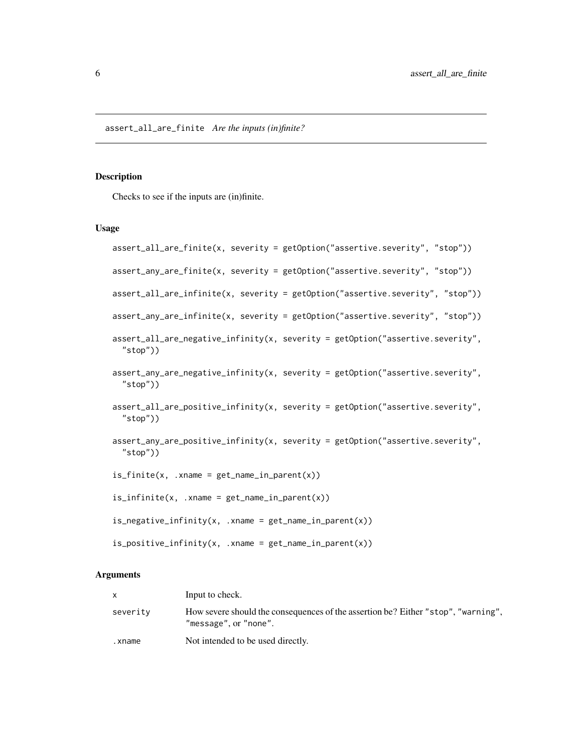#### <span id="page-5-0"></span>Description

Checks to see if the inputs are (in)finite.

#### Usage

```
assert_all_are_finite(x, severity = getOption("assertive.severity", "stop"))
assert_any_are_finite(x, severity = getOption("assertive.severity", "stop"))
assert_all_are_infinite(x, severity = getOption("assertive.severity", "stop"))
assert_any_are_infinite(x, severity = getOption("assertive.severity", "stop"))
assert_all_are_negative_infinity(x, severity = getOption("assertive.severity",
  "stop"))
assert_any_are_negative_infinity(x, severity = getOption("assertive.severity",
  "stop"))
assert_all_are_positive_infinity(x, severity = getOption("assertive.severity",
  "stop"))
assert_any_are_positive_infinity(x, severity = getOption("assertive.severity",
  "stop"))
is_finite(x, .xname = get_name_in_parent(x))
is\_infinite(x, .xname = get\_name_in\_parent(x))is\_negative\_infinity(x, .xname = get\_name_in\_parent(x))is\_positive\_infinity(x, .xname = get\_name_in\_parent(x))
```
# Arguments

|          | Input to check.                                                                                            |
|----------|------------------------------------------------------------------------------------------------------------|
| severity | How severe should the consequences of the assertion be? Either "stop", "warning",<br>"message", or "none". |
| .xname   | Not intended to be used directly.                                                                          |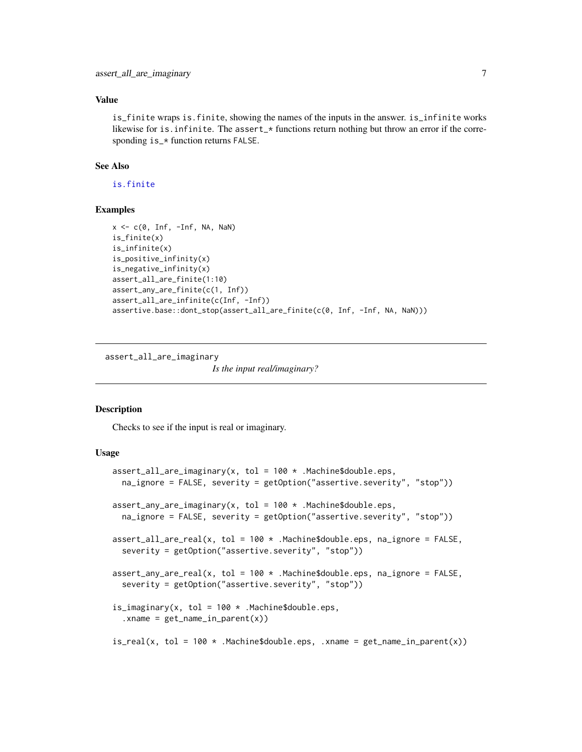#### <span id="page-6-0"></span>Value

is\_finite wraps is.finite, showing the names of the inputs in the answer. is\_infinite works likewise for is.infinite. The assert\_\* functions return nothing but throw an error if the corresponding is\_\* function returns FALSE.

### See Also

[is.finite](#page-0-0)

#### Examples

```
x \leq -c(0, \text{Inf}, -\text{Inf}, \text{NA}, \text{NaN})is_finite(x)
is_infinite(x)
is_positive_infinity(x)
is_negative_infinity(x)
assert_all_are_finite(1:10)
assert_any_are_finite(c(1, Inf))
assert_all_are_infinite(c(Inf, -Inf))
assertive.base::dont_stop(assert_all_are_finite(c(0, Inf, -Inf, NA, NaN)))
```
assert\_all\_are\_imaginary

*Is the input real/imaginary?*

#### **Description**

Checks to see if the input is real or imaginary.

```
assert_all_are_imaginary(x, tol = 100 \times . Machine$double.eps,
  na_ignore = FALSE, severity = getOption("assertive.severity", "stop"))
assert_any_are_imaginary(x, tol = 100 * .Machine$double.eps,
  na_ignore = FALSE, severity = getOption("assertive.severity", "stop"))
assert_all_are_real(x, tol = 100 \times .Machine$double.eps, na_ignore = FALSE,
  severity = getOption("assertive.severity", "stop"))
assert_any_are_real(x, tol = 100 \times .Machine$double.eps, na_ignore = FALSE,
  severity = getOption("assertive.severity", "stop"))
is_imaginary(x, tol = 100 *. Machine$double.eps,
  xname = get_name_in_parent(x))
is_real(x, tol = 100 \times .Machine$double.eps, .xname = get_name_in\_parent(x))
```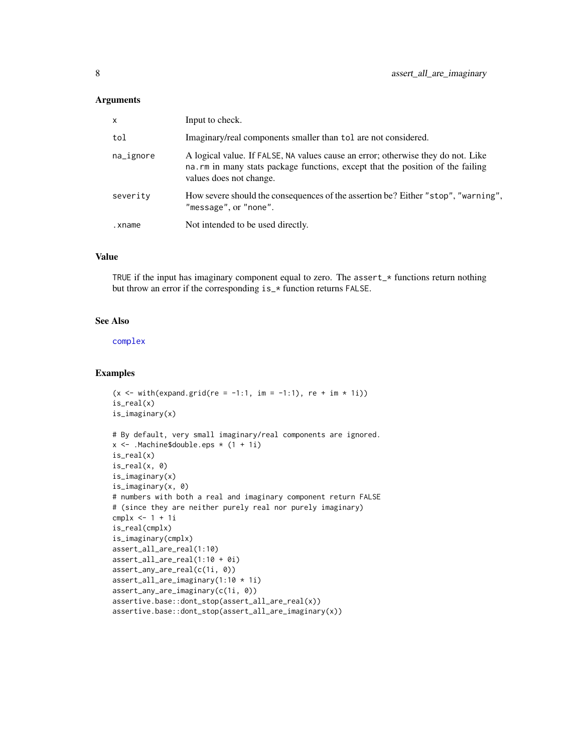#### <span id="page-7-0"></span>Arguments

| $\mathsf{x}$ | Input to check.                                                                                                                                                                                |
|--------------|------------------------------------------------------------------------------------------------------------------------------------------------------------------------------------------------|
| tol          | Imaginary/real components smaller than tol are not considered.                                                                                                                                 |
| na_ignore    | A logical value. If FALSE, NA values cause an error; otherwise they do not. Like<br>na. rm in many stats package functions, except that the position of the failing<br>values does not change. |
| severity     | How severe should the consequences of the assertion be? Either "stop", "warning",<br>"message", or "none".                                                                                     |
| .xname       | Not intended to be used directly.                                                                                                                                                              |

# Value

TRUE if the input has imaginary component equal to zero. The assert\_\* functions return nothing but throw an error if the corresponding is\_\* function returns FALSE.

#### See Also

[complex](#page-0-0)

#### Examples

```
(x \le - with(expand.grid(re = -1:1, im = -1:1), re + im * 1i))
is_real(x)
is_imaginary(x)
# By default, very small imaginary/real components are ignored.
x <- .Machine$double.eps * (1 + 1i)
is_real(x)
is_real(x, 0)
is_imaginary(x)
is_imaginary(x, 0)
# numbers with both a real and imaginary component return FALSE
# (since they are neither purely real nor purely imaginary)
cmplx <- 1 + 1i
is_real(cmplx)
is_imaginary(cmplx)
assert_all_are_real(1:10)
assert_all_are_real(1:10 + 0i)
assert_any_are_real(c(1i, 0))
assert_all_are_imaginary(1:10 * 1i)
assert_any_are_imaginary(c(1i, 0))
assertive.base::dont_stop(assert_all_are_real(x))
assertive.base::dont_stop(assert_all_are_imaginary(x))
```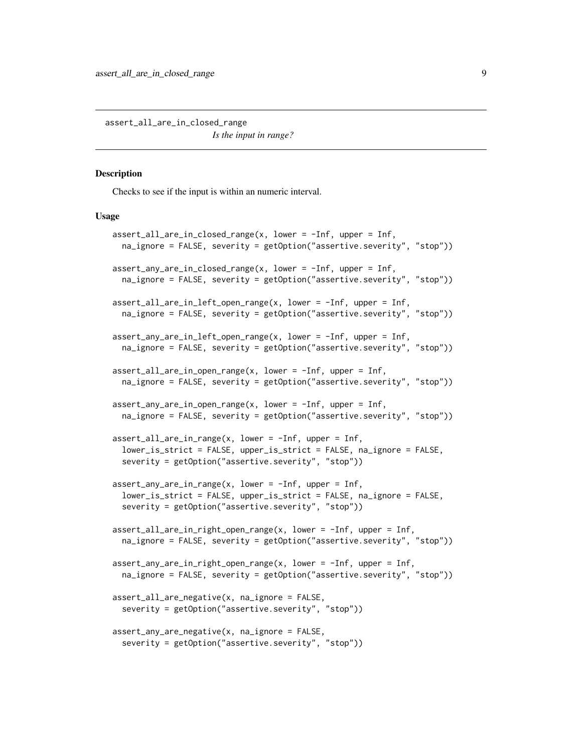<span id="page-8-0"></span>assert\_all\_are\_in\_closed\_range *Is the input in range?*

#### **Description**

Checks to see if the input is within an numeric interval.

```
assert_all_are_in_closed_range(x, lower = -Inf, upper = Inf,
  na_ignore = FALSE, severity = getOption("assertive.severity", "stop"))
assert_any_are_in_closed_range(x, lower = -Inf, upper = Inf,
  na_ignore = FALSE, severity = getOption("assertive.severity", "stop"))
assert_all_are_in_left_open_range(x, lower = -Inf, upper = Inf,
 na_ignore = FALSE, severity = getOption("assertive.severity", "stop"))
assert_any_are_in_left_open_range(x, lower = -Inf, upper = Inf,
 na_ignore = FALSE, severity = getOption("assertive.severity", "stop"))
assert_all_are_in_open_range(x, lower = -Inf, upper = Inf,
 na_ignore = FALSE, severity = getOption("assertive.severity", "stop"))
assert\_any\_are\_in\_open\_range(x, lower = -Inf, upper = Inf,na_ignore = FALSE, severity = getOption("assertive.severity", "stop"))
assert\_all\_are\_in\_range(x, lower = -Inf, upper = Inf,lower_is_strict = FALSE, upper_is_strict = FALSE, na_ignore = FALSE,
  severity = getOption("assertive.severity", "stop"))
assert\_any\_are\_in\_range(x, lower = -Inf, upper = Inf,lower_is_strict = FALSE, upper_is_strict = FALSE, na_ignore = FALSE,
  severity = getOption("assertive.severity", "stop"))
assert\_all\_are_in\_right\_open\_range(x, lower = -Inf, upper = Inf,na_ignore = FALSE, severity = getOption("assertive.severity", "stop"))
assert_any_are_in_right_open_range(x, lower = -Inf, upper = Inf,
 na_ignore = FALSE, severity = getOption("assertive.severity", "stop"))
assert_all_are_negative(x, na_ignore = FALSE,
  severity = getOption("assertive.severity", "stop"))
assert_any_are_negative(x, na_ignore = FALSE,
 severity = getOption("assertive.severity", "stop"))
```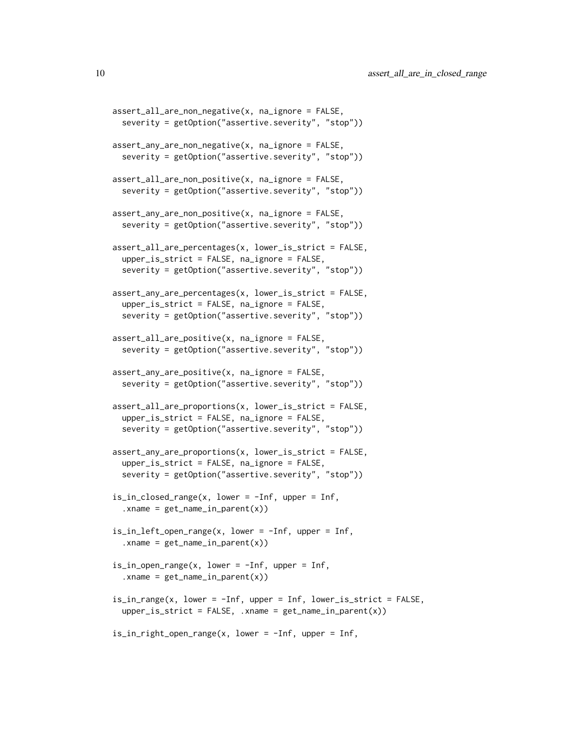```
assert_all_are_non_negative(x, na_ignore = FALSE,
  severity = getOption("assertive.severity", "stop"))
assert_any_are_non_negative(x, na_ignore = FALSE,
  severity = getOption("assertive.severity", "stop"))
assert_all_are_non_positive(x, na_ignore = FALSE,
  severity = getOption("assertive.severity", "stop"))
assert_any_are_non_positive(x, na_ignore = FALSE,
  severity = getOption("assertive.severity", "stop"))
assert_all_are_percentages(x, lower_is_strict = FALSE,
  upper_is_strict = FALSE, na_ignore = FALSE,
  severity = getOption("assertive.severity", "stop"))
assert_any_are_percentages(x, lower_is_strict = FALSE,
  upper_is_strict = FALSE, na_ignore = FALSE,
  severity = getOption("assertive.severity", "stop"))
assert_all_are_positive(x, na_ignore = FALSE,
  severity = getOption("assertive.severity", "stop"))
assert_any_are_positive(x, na_ignore = FALSE,
  severity = getOption("assertive.severity", "stop"))
assert_all_are_proportions(x, lower_is_strict = FALSE,
  upper_is_strict = FALSE, na_ignore = FALSE,
  severity = getOption("assertive.severity", "stop"))
assert_any_are_proportions(x, lower_is_strict = FALSE,
  upper_is_strict = FALSE, na_ignore = FALSE,
  severity = getOption("assertive.severity", "stop"))
is_in\_closed\_range(x, lower = -Inf, upper = Inf,xname = get_name_in_parent(x))
is_in_left_open_range(x, lower = -Inf, upper = Inf,
  xname = get_name_in_parent(x))
is_in_open_range(x, lower = -Inf, upper = Inf,xname = get_name_in_parent(x))
is_in_range(x, lower = -Inf, upper = Inf, lower_is_strict = FALSE,
  upper_is_strict = FALSE, .xname = get_name_in_parent(x))
is_in_right_open_range(x, lower = -Inf, upper = Inf,
```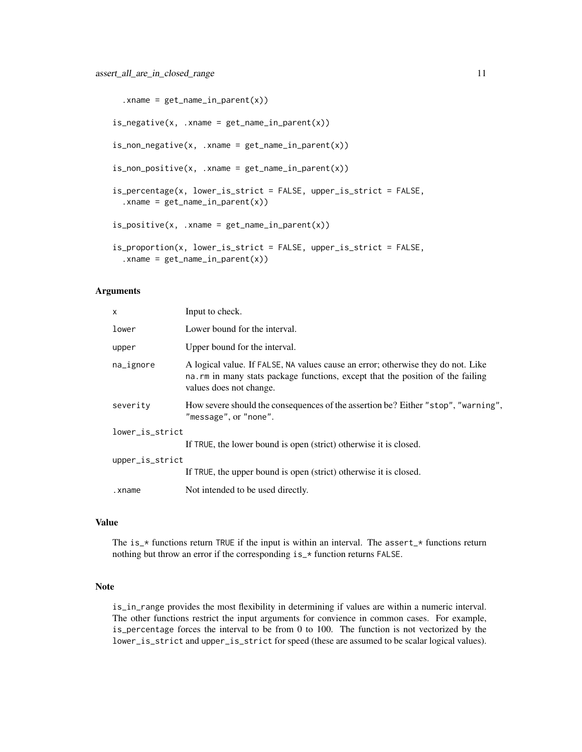```
:xname = get_name_in\_parent(x)is\_negative(x, .xname = get\_name_in\_parent(x))is\_non\_negative(x, .xname = get\_name\_in\_parent(x))is\_non\_positive(x, .xname = get\_name\_in\_parent(x))is_percentage(x, lower_is_strict = FALSE, upper_is_strict = FALSE,
  :xname = get_name_in.parent(x))is\_positive(x, .xname = get\_name_in\_parent(x))is_proportion(x, lower_is_strict = FALSE, upper_is_strict = FALSE,
  xname = get_name_in_parent(x))
```
#### Arguments

| x               | Input to check.                                                                                                                                                                                |  |
|-----------------|------------------------------------------------------------------------------------------------------------------------------------------------------------------------------------------------|--|
| lower           | Lower bound for the interval.                                                                                                                                                                  |  |
| upper           | Upper bound for the interval.                                                                                                                                                                  |  |
| na_ignore       | A logical value. If FALSE, NA values cause an error; otherwise they do not. Like<br>na. rm in many stats package functions, except that the position of the failing<br>values does not change. |  |
| severity        | How severe should the consequences of the assertion be? Either "stop", "warning",<br>"message", or "none".                                                                                     |  |
| lower_is_strict |                                                                                                                                                                                                |  |
|                 | If TRUE, the lower bound is open (strict) otherwise it is closed.                                                                                                                              |  |
| upper_is_strict |                                                                                                                                                                                                |  |
|                 | If TRUE, the upper bound is open (strict) otherwise it is closed.                                                                                                                              |  |
| .xname          | Not intended to be used directly.                                                                                                                                                              |  |
|                 |                                                                                                                                                                                                |  |

# Value

The is\_ $*$  functions return TRUE if the input is within an interval. The assert\_ $*$  functions return nothing but throw an error if the corresponding is\_\* function returns FALSE.

#### Note

is\_in\_range provides the most flexibility in determining if values are within a numeric interval. The other functions restrict the input arguments for convience in common cases. For example, is\_percentage forces the interval to be from 0 to 100. The function is not vectorized by the lower\_is\_strict and upper\_is\_strict for speed (these are assumed to be scalar logical values).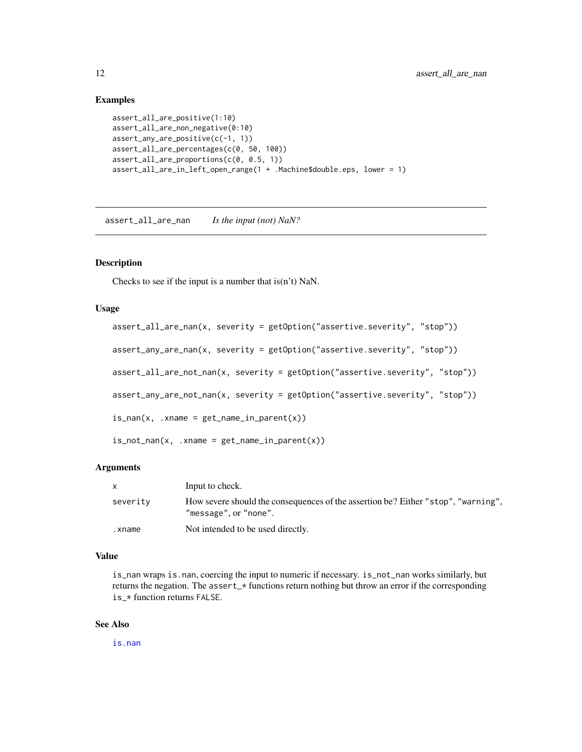#### Examples

```
assert_all_are_positive(1:10)
assert_all_are_non_negative(0:10)
assert_any_are_positive(c(-1, 1))
assert_all_are_percentages(c(0, 50, 100))
assert_all_are_proportions(c(0, 0.5, 1))
assert_all_are_in_left_open_range(1 + .Machine$double.eps, lower = 1)
```
assert\_all\_are\_nan *Is the input (not) NaN?*

#### Description

Checks to see if the input is a number that is(n't) NaN.

### Usage

```
assert_all_are_nan(x, severity = getOption("assertive.severity", "stop"))
assert_any_are_nan(x, severity = getOption("assertive.severity", "stop"))
assert_all_are_not_nan(x, severity = getOption("assertive.severity", "stop"))
assert_any_are_not_nan(x, severity = getOption("assertive.severity", "stop"))
is\_nan(x, .xname = get\_name_in\_parent(x))is\_not\_nan(x, xname = get\_name_in\_parent(x))
```
#### Arguments

| X.       | Input to check.                                                                                            |
|----------|------------------------------------------------------------------------------------------------------------|
| severity | How severe should the consequences of the assertion be? Either "stop", "warning",<br>"message", or "none". |
| .xname   | Not intended to be used directly.                                                                          |

#### Value

is\_nan wraps is.nan, coercing the input to numeric if necessary. is\_not\_nan works similarly, but returns the negation. The assert\_\* functions return nothing but throw an error if the corresponding is\_\* function returns FALSE.

#### See Also

[is.nan](#page-0-0)

<span id="page-11-0"></span>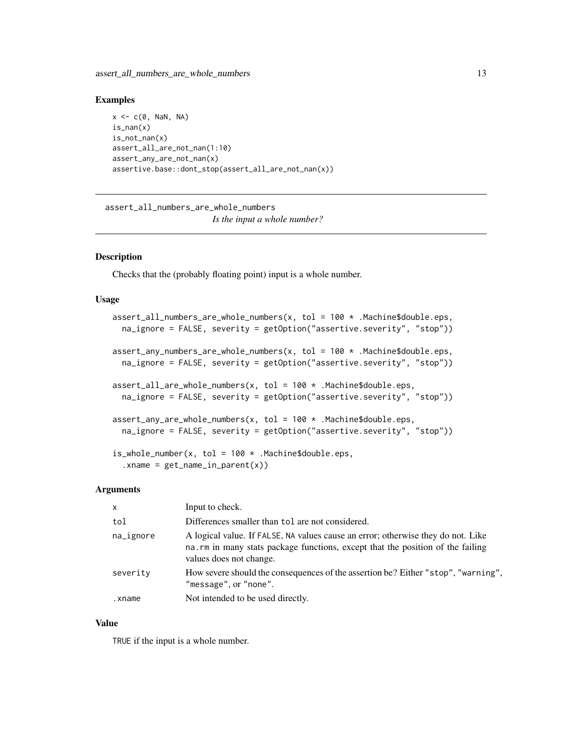#### <span id="page-12-0"></span>Examples

```
x \leq -c(0, \text{NaN}, \text{NA})is\_nan(x)is_not_nan(x)
assert_all_are_not_nan(1:10)
assert_any_are_not_nan(x)
assertive.base::dont_stop(assert_all_are_not_nan(x))
```
assert\_all\_numbers\_are\_whole\_numbers *Is the input a whole number?*

# Description

Checks that the (probably floating point) input is a whole number.

#### Usage

```
assert_all_numbers_are_whole_numbers(x, tol = 100 * .Machine$double.eps,
 na_ignore = FALSE, severity = getOption("assertive.severity", "stop"))
assert_any_numbers_are_whole_numbers(x, tol = 100 * .Machine$double.eps,
 na_ignore = FALSE, severity = getOption("assertive.severity", "stop"))
assert_all_are_whole_numbers(x, tol = 100 * .Machine$double.eps,
 na_ignore = FALSE, severity = getOption("assertive.severity", "stop"))
assert_any_are_whole_numbers(x, tol = 100 * .Machine$double.eps,
 na_ignore = FALSE, severity = getOption("assertive.severity", "stop"))
is_whole_number(x, tol = 100 * .Machine$double.eps,
  :xname = get_name_in\_parent(x))
```
#### Arguments

| $\mathsf{X}$ | Input to check.                                                                                                                                                                                |
|--------------|------------------------------------------------------------------------------------------------------------------------------------------------------------------------------------------------|
| tol          | Differences smaller than tol are not considered.                                                                                                                                               |
| na_ignore    | A logical value. If FALSE, NA values cause an error; otherwise they do not. Like<br>na. rm in many stats package functions, except that the position of the failing<br>values does not change. |
| severity     | How severe should the consequences of the assertion be? Either "stop", "warning",<br>"message", or "none".                                                                                     |
| .xname       | Not intended to be used directly.                                                                                                                                                              |

#### Value

TRUE if the input is a whole number.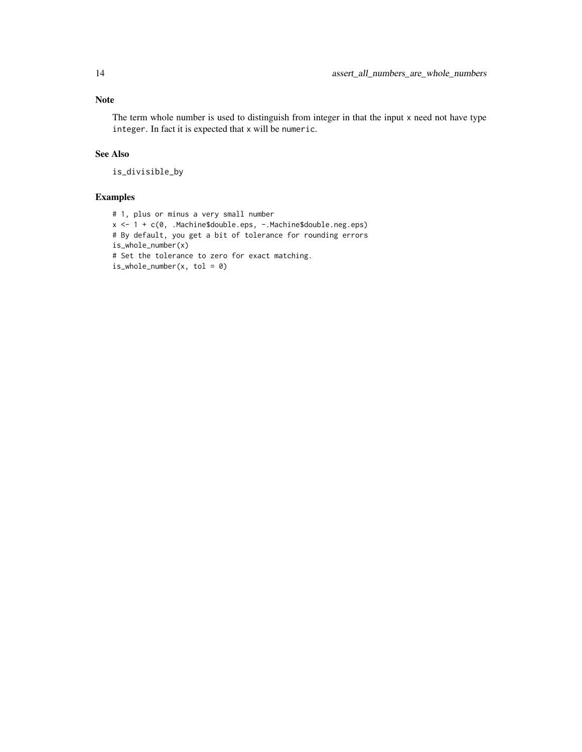The term whole number is used to distinguish from integer in that the input x need not have type integer. In fact it is expected that x will be numeric.

# See Also

is\_divisible\_by

# Examples

```
# 1, plus or minus a very small number
x <- 1 + c(0, .Machine$double.eps, -.Machine$double.neg.eps)
# By default, you get a bit of tolerance for rounding errors
is_whole_number(x)
# Set the tolerance to zero for exact matching.
is_whole_number(x, tol = 0)
```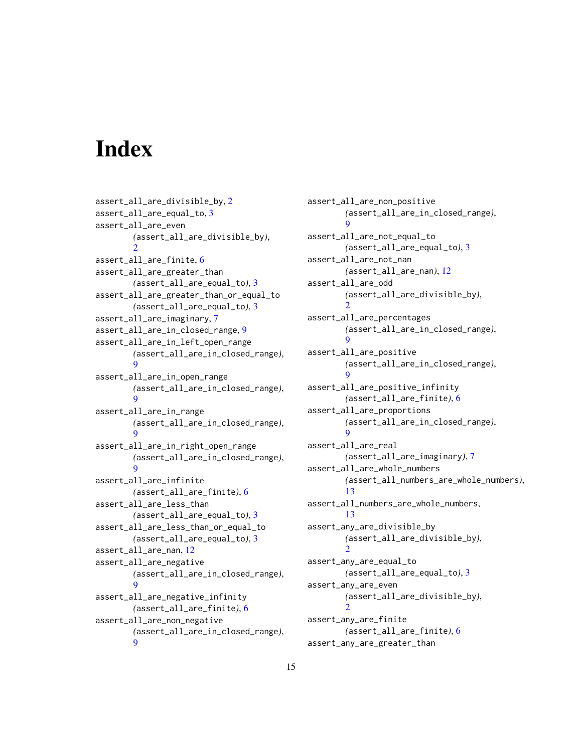# <span id="page-14-0"></span>**Index**

assert\_all\_are\_divisible\_by, [2](#page-1-0) assert\_all\_are\_equal\_to, [3](#page-2-0) assert\_all\_are\_even *(*assert\_all\_are\_divisible\_by*)*,  $\mathcal{D}$ assert\_all\_are\_finite, [6](#page-5-0) assert\_all\_are\_greater\_than *(*assert\_all\_are\_equal\_to*)*, [3](#page-2-0) assert\_all\_are\_greater\_than\_or\_equal\_to *(*assert\_all\_are\_equal\_to*)*, [3](#page-2-0) assert\_all\_are\_imaginary, [7](#page-6-0) assert\_all\_are\_in\_closed\_range, [9](#page-8-0) assert\_all\_are\_in\_left\_open\_range *(*assert\_all\_are\_in\_closed\_range*)*,  $\overline{Q}$ assert\_all\_are\_in\_open\_range *(*assert\_all\_are\_in\_closed\_range*)*, [9](#page-8-0) assert\_all\_are\_in\_range *(*assert\_all\_are\_in\_closed\_range*)*,  $\mathbf Q$ assert\_all\_are\_in\_right\_open\_range *(*assert\_all\_are\_in\_closed\_range*)*,  $\Omega$ assert\_all\_are\_infinite *(*assert\_all\_are\_finite*)*, [6](#page-5-0) assert\_all\_are\_less\_than *(*assert\_all\_are\_equal\_to*)*, [3](#page-2-0) assert\_all\_are\_less\_than\_or\_equal\_to *(*assert\_all\_are\_equal\_to*)*, [3](#page-2-0) assert\_all\_are\_nan, [12](#page-11-0) assert\_all\_are\_negative *(*assert\_all\_are\_in\_closed\_range*)*,  $\alpha$ assert\_all\_are\_negative\_infinity *(*assert\_all\_are\_finite*)*, [6](#page-5-0) assert\_all\_are\_non\_negative *(*assert\_all\_are\_in\_closed\_range*)*, [9](#page-8-0)

assert\_all\_are\_non\_positive *(*assert\_all\_are\_in\_closed\_range*)*,  $\alpha$ assert\_all\_are\_not\_equal\_to *(*assert\_all\_are\_equal\_to*)*, [3](#page-2-0) assert\_all\_are\_not\_nan *(*assert\_all\_are\_nan*)*, [12](#page-11-0) assert\_all\_are\_odd *(*assert\_all\_are\_divisible\_by*)*,  $\mathcal{D}$ assert\_all\_are\_percentages *(*assert\_all\_are\_in\_closed\_range*)*,  $\mathbf{o}$ assert\_all\_are\_positive *(*assert\_all\_are\_in\_closed\_range*)*,  $\mathbf{o}$ assert\_all\_are\_positive\_infinity *(*assert\_all\_are\_finite*)*, [6](#page-5-0) assert\_all\_are\_proportions *(*assert\_all\_are\_in\_closed\_range*)*,  $\mathbf Q$ assert\_all\_are\_real *(*assert\_all\_are\_imaginary*)*, [7](#page-6-0) assert\_all\_are\_whole\_numbers *(*assert\_all\_numbers\_are\_whole\_numbers*)*, [13](#page-12-0) assert\_all\_numbers\_are\_whole\_numbers, [13](#page-12-0) assert\_any\_are\_divisible\_by *(*assert\_all\_are\_divisible\_by*)*,  $\mathcal{D}$ assert\_any\_are\_equal\_to *(*assert\_all\_are\_equal\_to*)*, [3](#page-2-0) assert\_any\_are\_even *(*assert\_all\_are\_divisible\_by*)*,  $\mathcal{D}$ assert\_any\_are\_finite *(*assert\_all\_are\_finite*)*, [6](#page-5-0) assert\_any\_are\_greater\_than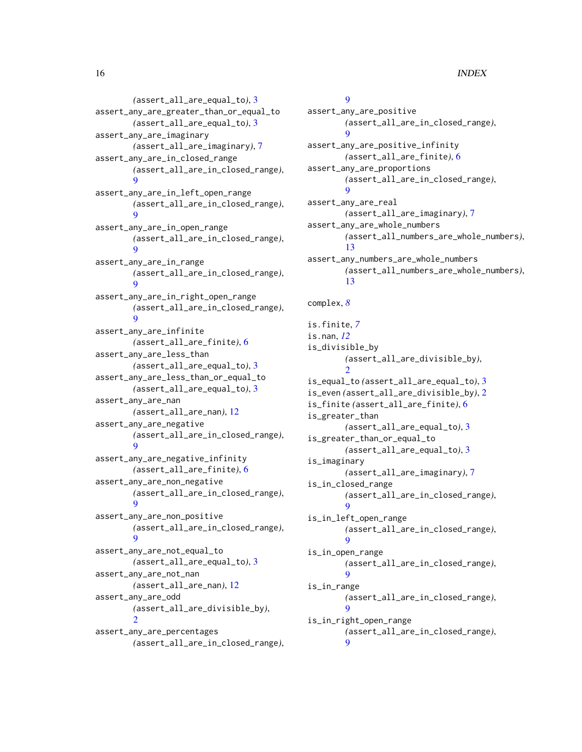*(*assert\_all\_are\_equal\_to*)*, [3](#page-2-0) assert\_any\_are\_greater\_than\_or\_equal\_to *(*assert\_all\_are\_equal\_to*)*, [3](#page-2-0) assert\_any\_are\_imaginary *(*assert\_all\_are\_imaginary*)*, [7](#page-6-0) assert\_any\_are\_in\_closed\_range *(*assert\_all\_are\_in\_closed\_range*)*, [9](#page-8-0) assert\_any\_are\_in\_left\_open\_range *(*assert\_all\_are\_in\_closed\_range*)*, [9](#page-8-0) assert\_any\_are\_in\_open\_range *(*assert\_all\_are\_in\_closed\_range*)*,  $\mathbf{o}$ assert\_any\_are\_in\_range *(*assert\_all\_are\_in\_closed\_range*)*, [9](#page-8-0) assert\_any\_are\_in\_right\_open\_range *(*assert\_all\_are\_in\_closed\_range*)*,  $\Omega$ assert\_any\_are\_infinite *(*assert\_all\_are\_finite*)*, [6](#page-5-0) assert\_any\_are\_less\_than *(*assert\_all\_are\_equal\_to*)*, [3](#page-2-0) assert\_any\_are\_less\_than\_or\_equal\_to *(*assert\_all\_are\_equal\_to*)*, [3](#page-2-0) assert\_any\_are\_nan *(*assert\_all\_are\_nan*)*, [12](#page-11-0) assert\_any\_are\_negative *(*assert\_all\_are\_in\_closed\_range*)*,  $\mathbf Q$ assert\_any\_are\_negative\_infinity *(*assert\_all\_are\_finite*)*, [6](#page-5-0) assert\_any\_are\_non\_negative *(*assert\_all\_are\_in\_closed\_range*)*,  $\mathbf Q$ assert\_any\_are\_non\_positive *(*assert\_all\_are\_in\_closed\_range*)*,  $\Omega$ assert\_any\_are\_not\_equal\_to *(*assert\_all\_are\_equal\_to*)*, [3](#page-2-0) assert\_any\_are\_not\_nan *(*assert\_all\_are\_nan*)*, [12](#page-11-0) assert\_any\_are\_odd *(*assert\_all\_are\_divisible\_by*)*, [2](#page-1-0) assert\_any\_are\_percentages *(*assert\_all\_are\_in\_closed\_range*)*,

# $\mathbf Q$

assert\_any\_are\_positive *(*assert\_all\_are\_in\_closed\_range*)*, [9](#page-8-0) assert\_any\_are\_positive\_infinity *(*assert\_all\_are\_finite*)*, [6](#page-5-0) assert\_any\_are\_proportions *(*assert\_all\_are\_in\_closed\_range*)*,  $\mathbf Q$ assert\_any\_are\_real *(*assert\_all\_are\_imaginary*)*, [7](#page-6-0) assert\_any\_are\_whole\_numbers *(*assert\_all\_numbers\_are\_whole\_numbers*)*, [13](#page-12-0) assert\_any\_numbers\_are\_whole\_numbers *(*assert\_all\_numbers\_are\_whole\_numbers*)*, [13](#page-12-0) complex, *[8](#page-7-0)* is.finite, *[7](#page-6-0)* is.nan, *[12](#page-11-0)* is\_divisible\_by *(*assert\_all\_are\_divisible\_by*)*,  $\mathcal{D}$ is\_equal\_to *(*assert\_all\_are\_equal\_to*)*, [3](#page-2-0) is\_even *(*assert\_all\_are\_divisible\_by*)*, [2](#page-1-0) is\_finite *(*assert\_all\_are\_finite*)*, [6](#page-5-0) is\_greater\_than *(*assert\_all\_are\_equal\_to*)*, [3](#page-2-0) is\_greater\_than\_or\_equal\_to *(*assert\_all\_are\_equal\_to*)*, [3](#page-2-0) is\_imaginary *(*assert\_all\_are\_imaginary*)*, [7](#page-6-0) is\_in\_closed\_range *(*assert\_all\_are\_in\_closed\_range*)*, [9](#page-8-0) is\_in\_left\_open\_range *(*assert\_all\_are\_in\_closed\_range*)*, [9](#page-8-0) is\_in\_open\_range *(*assert\_all\_are\_in\_closed\_range*)*,  $\alpha$ is\_in\_range *(*assert\_all\_are\_in\_closed\_range*)*,  $\mathbf Q$ 

is\_in\_right\_open\_range *(*assert\_all\_are\_in\_closed\_range*)*, [9](#page-8-0)